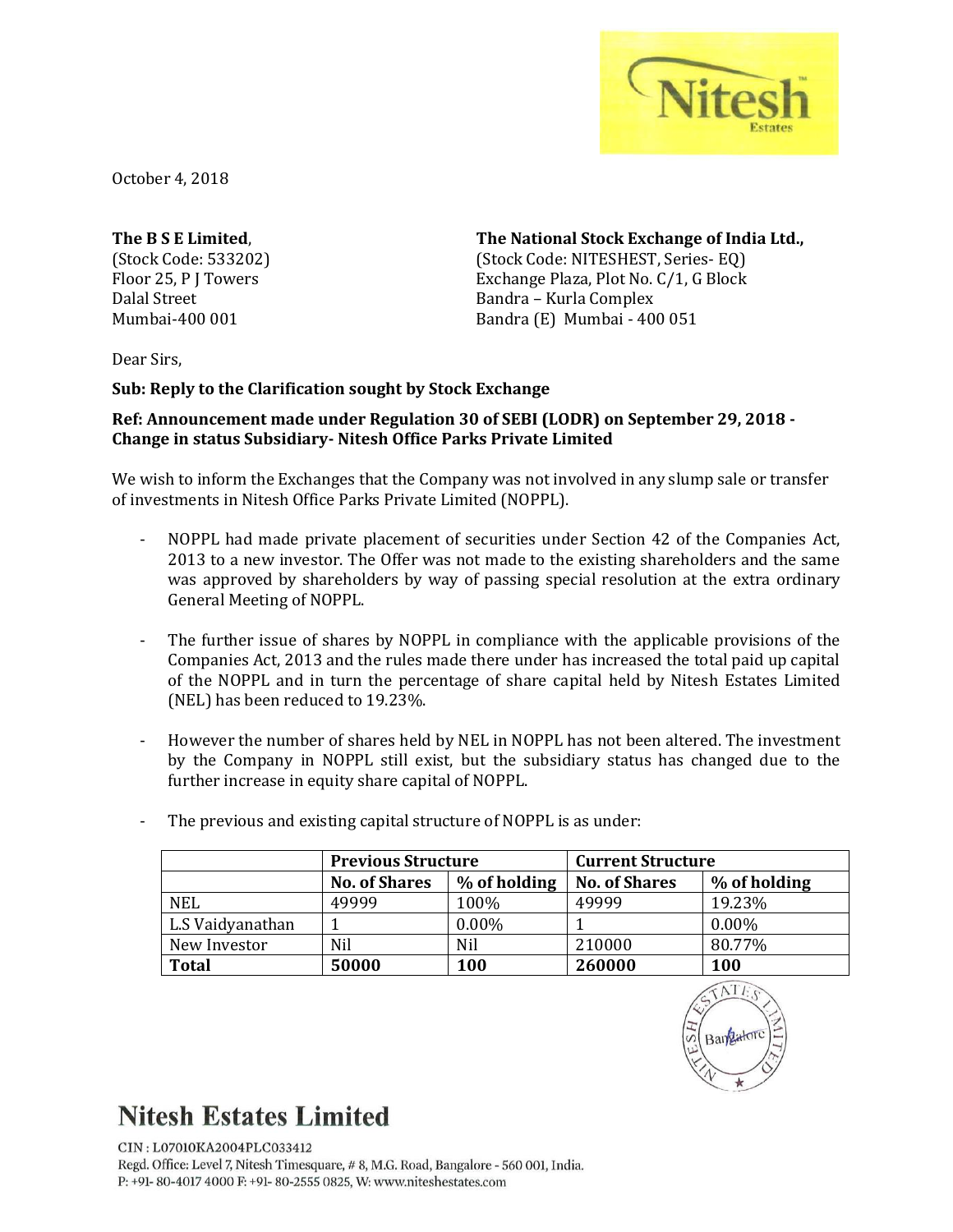

October 4, 2018

**The B S E Limited**, (Stock Code: 533202) Floor 25, P J Towers Dalal Street Mumbai-400 001

**The National Stock Exchange of India Ltd.,**

(Stock Code: NITESHEST, Series- EQ) Exchange Plaza, Plot No. C/1, G Block Bandra – Kurla Complex Bandra (E) Mumbai - 400 051

Dear Sirs,

**Sub: Reply to the Clarification sought by Stock Exchange**

## **Ref: Announcement made under Regulation 30 of SEBI (LODR) on September 29, 2018 - Change in status Subsidiary- Nitesh Office Parks Private Limited**

We wish to inform the Exchanges that the Company was not involved in any slump sale or transfer of investments in Nitesh Office Parks Private Limited (NOPPL).

- NOPPL had made private placement of securities under Section 42 of the Companies Act, 2013 to a new investor. The Offer was not made to the existing shareholders and the same was approved by shareholders by way of passing special resolution at the extra ordinary General Meeting of NOPPL.
- The further issue of shares by NOPPL in compliance with the applicable provisions of the Companies Act, 2013 and the rules made there under has increased the total paid up capital of the NOPPL and in turn the percentage of share capital held by Nitesh Estates Limited (NEL) has been reduced to 19.23%.
- However the number of shares held by NEL in NOPPL has not been altered. The investment by the Company in NOPPL still exist, but the subsidiary status has changed due to the further increase in equity share capital of NOPPL.

|                  | <b>Previous Structure</b> |              | <b>Current Structure</b> |              |
|------------------|---------------------------|--------------|--------------------------|--------------|
|                  | <b>No. of Shares</b>      | % of holding | <b>No. of Shares</b>     | % of holding |
| <b>NEL</b>       | 49999                     | 100%         | 49999                    | 19.23%       |
| L.S Vaidyanathan |                           | $0.00\%$     |                          | $0.00\%$     |
| New Investor     | Nil                       | <b>Nil</b>   | 210000                   | 80.77%       |
| <b>Total</b>     | 50000                     | 100          | 260000                   | 100          |

The previous and existing capital structure of NOPPL is as under:

## **Nitesh Estates Limited**

CIN: L07010KA2004PLC033412 Regd. Office: Level 7, Nitesh Timesquare, #8, M.G. Road, Bangalore - 560 001, India. P: +91-80-4017 4000 F: +91-80-2555 0825, W: www.niteshestates.com